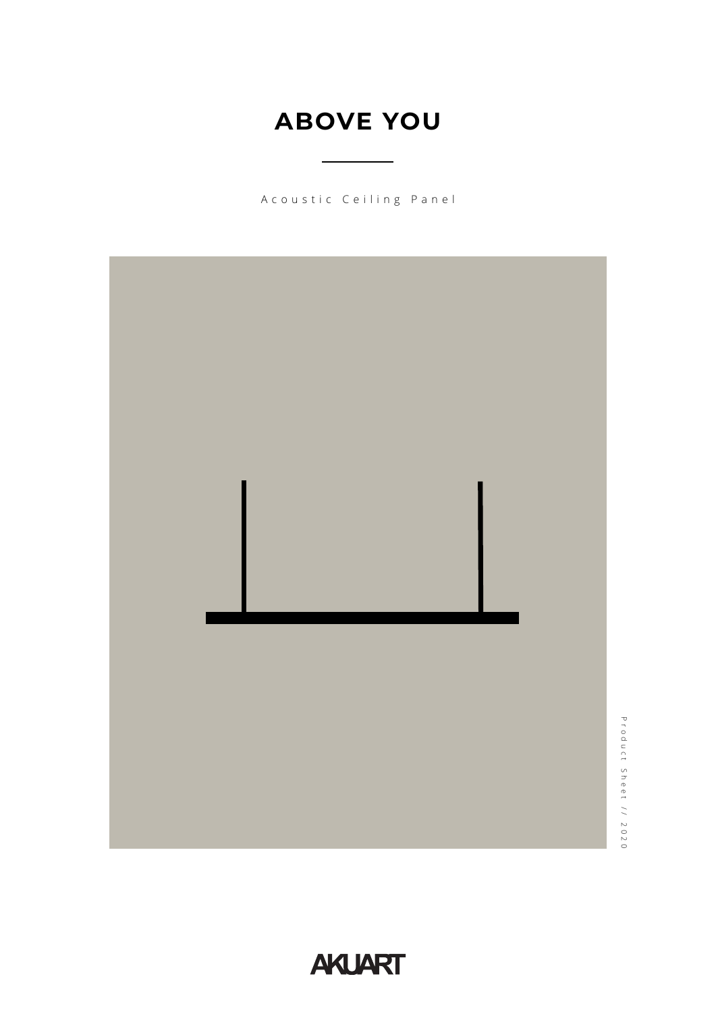# **ABOVE YOU**

Acoustic Ceiling Panel



**AKLIART**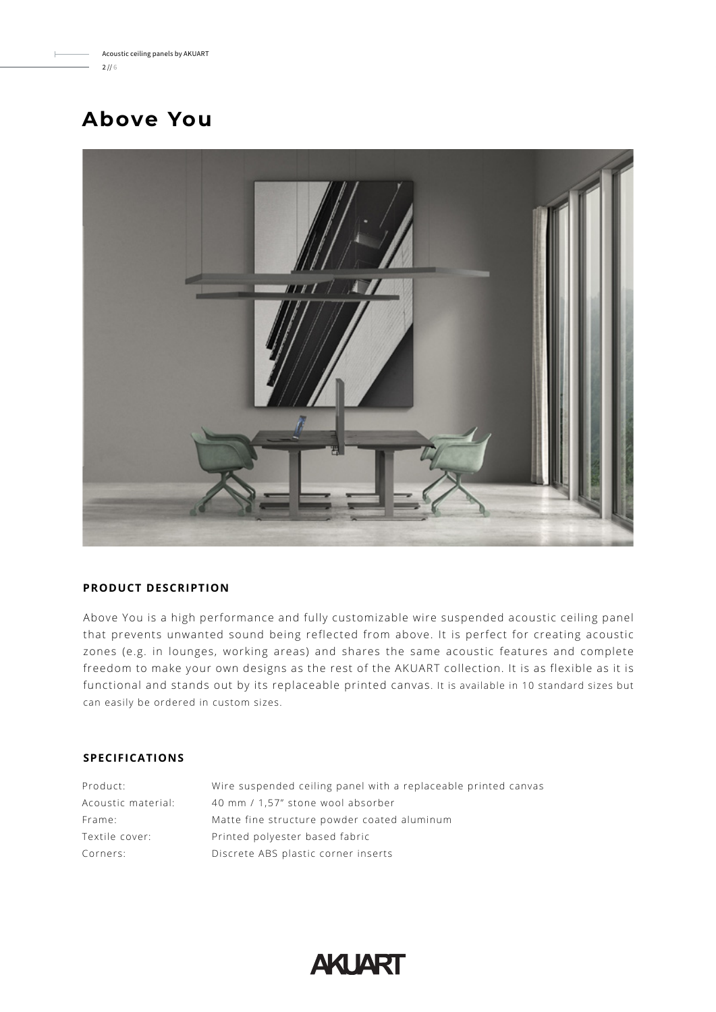# **Above You**



## **PRODUCT DESCRIPTION**

Above You is a high performance and fully customizable wire suspended acoustic ceiling panel that prevents unwanted sound being reflected from above. It is perfect for creating acoustic zones (e.g. in lounges, working areas) and shares the same acoustic features and complete freedom to make your own designs as the rest of the AKUART collection. It is as flexible as it is functional and stands out by its replaceable printed canvas. It is available in 10 standard sizes but can easily be ordered in custom sizes.

# **SPECIFICATIONS**

| Product:           | Wire suspended ceiling panel with a replaceable printed canvas |
|--------------------|----------------------------------------------------------------|
| Acoustic material: | 40 mm / 1,57" stone wool absorber                              |
| Frame:             | Matte fine structure powder coated aluminum                    |
| Textile cover:     | Printed polyester based fabric                                 |
| Corners:           | Discrete ABS plastic corner inserts                            |

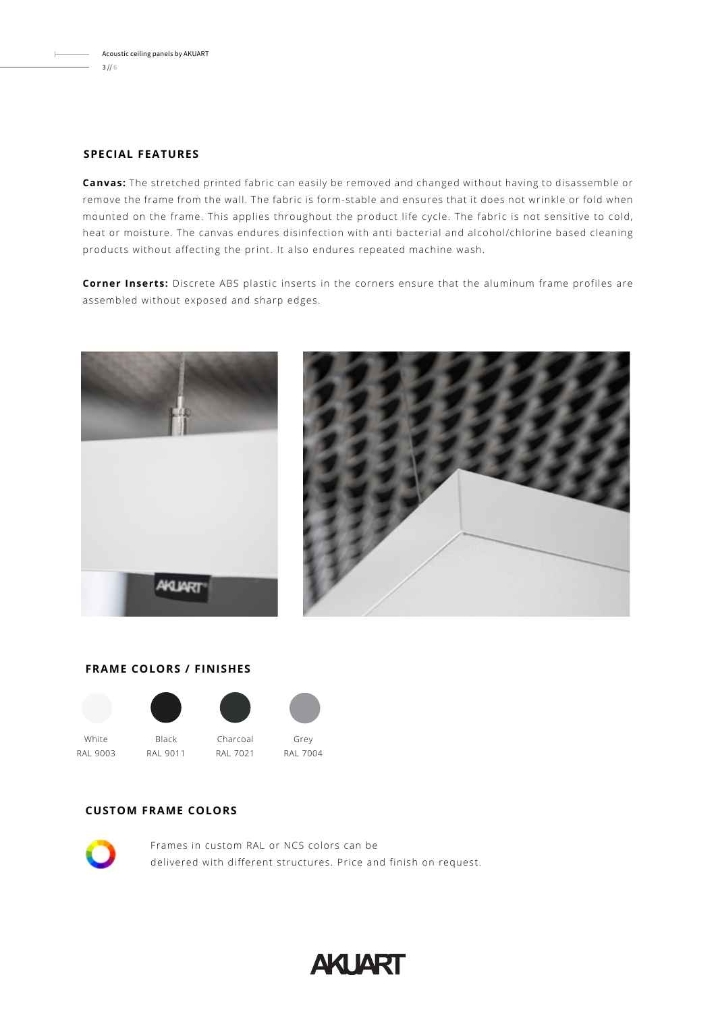## **SPECIAL FEATURES**

**Canvas:** The stretched printed fabric can easily be removed and changed without having to disassemble or remove the frame from the wall. The fabric is form-stable and ensures that it does not wrinkle or fold when mounted on the frame. This applies throughout the product life cycle. The fabric is not sensitive to cold, heat or moisture. The canvas endures disinfection with anti bacterial and alcohol/chlorine based cleaning products without affecting the print. It also endures repeated machine wash.

**Corner Inserts:** Discrete ABS plastic inserts in the corners ensure that the aluminum frame profiles are assembled without exposed and sharp edges.



# **FRAME COLORS / FINISHES**





White RAL 9003

Charcoal RAL 7021 RAL 9011



RAL 7004

# **CUSTOM FRAME COLORS**



Frames in custom RAL or NCS colors can be delivered with different structures. Price and finish on request.

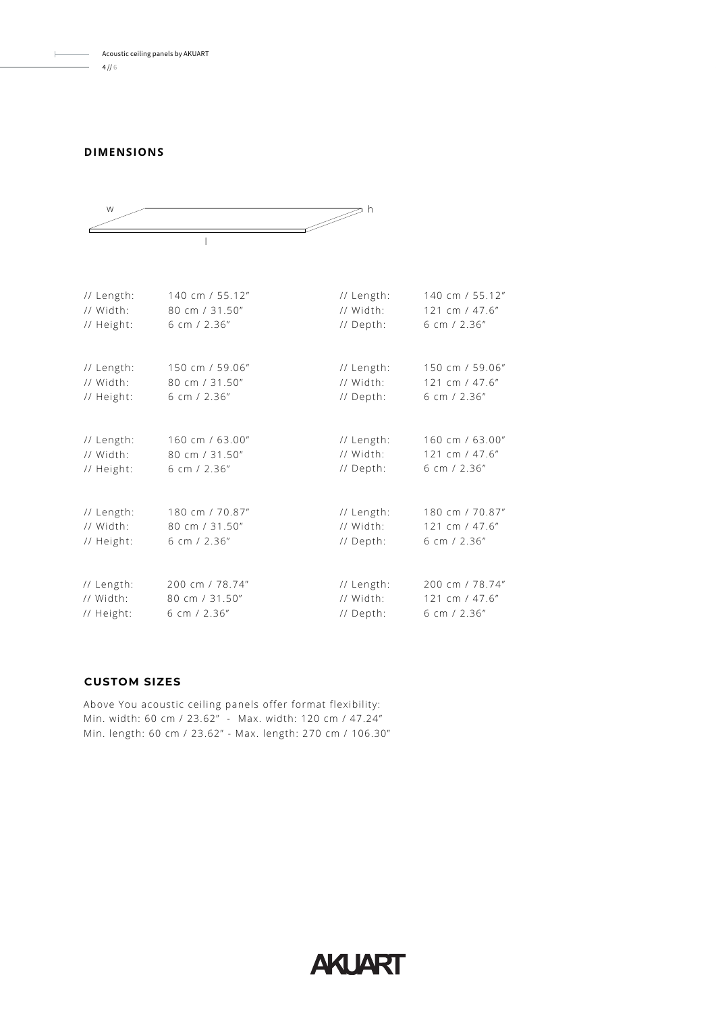#### **DIMENSIONS**



| // Length: | 140 cm / 55.12" | // Length: | 140 cm / 55.12" |
|------------|-----------------|------------|-----------------|
| // Width:  | 80 cm / 31.50"  | // Width:  | 121 cm / 47.6"  |
| // Height: | 6 cm / 2.36"    | // Depth:  | 6 cm / 2.36"    |
| // Length: | 150 cm / 59.06" | // Length: | 150 cm / 59.06" |
| // Width:  | 80 cm / 31.50"  | // Width:  | 121 cm / 47.6"  |
| // Height: | 6 cm $/$ 2.36"  | // Depth:  | 6 cm $/ 2.36''$ |
| // Length: | 160 cm / 63.00" | // Length: | 160 cm / 63.00" |
| // Width:  | 80 cm / 31.50"  | // Width:  | 121 cm / 47.6"  |
| // Height: | 6 cm $/$ 2.36"  | // Depth:  | 6 cm $/$ 2.36"  |
| // Length: | 180 cm / 70.87" | // Length: | 180 cm / 70.87" |
| // Width:  | 80 cm / 31.50"  | // Width:  | 121 cm / 47.6"  |
| // Height: | 6 cm $/$ 2.36"  | // Depth:  | 6 cm $/$ 2.36"  |
| // Length: | 200 cm / 78.74" | // Length: | 200 cm / 78.74" |
| // Width:  | 80 cm / 31.50"  | // Width:  | 121 cm / 47.6"  |
| // Height: | 6 cm $/$ 2.36"  | // Depth:  | 6 cm $/$ 2.36"  |

**AKLIART** 

# **CUSTOM SIZES**

Above You acoustic ceiling panels offer format flexibility: Min. width: 60 cm / 23.62" - Max. width: 120 cm / 47.24" Min. length: 60 cm / 23.62" - Max. length: 270 cm / 106.30"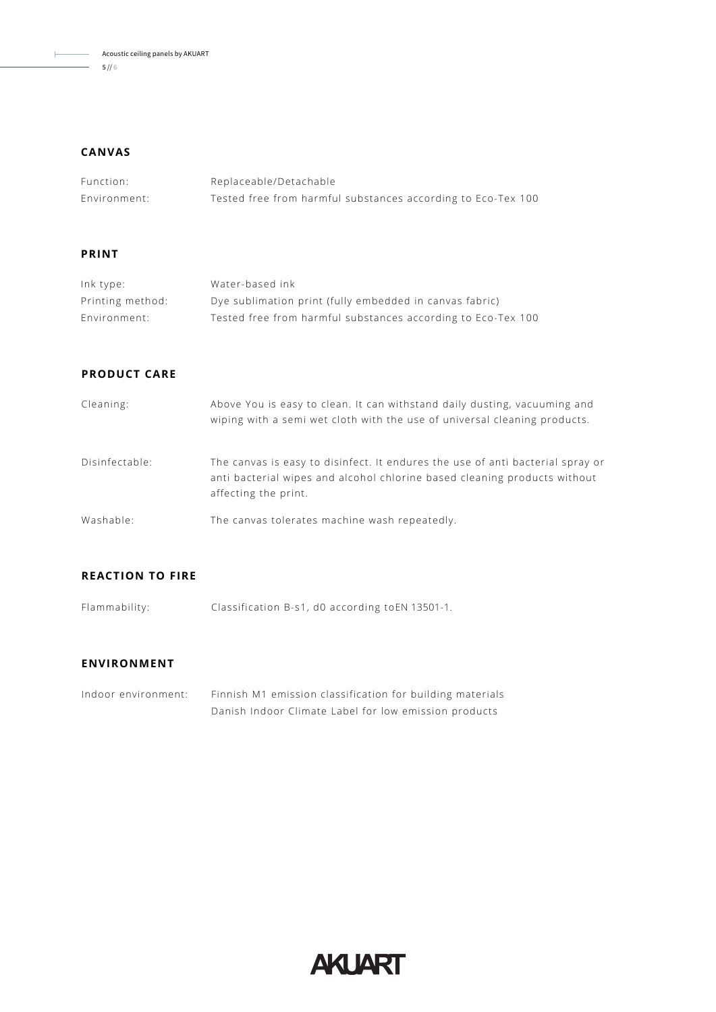Acoustic ceiling panels by AKUART  $- 5 / 6$ 

#### **CANVAS**

| Function:    | Replaceable/Detachable                                       |
|--------------|--------------------------------------------------------------|
| Environment: | Tested free from harmful substances according to Eco-Tex 100 |

#### **PRINT**

| Ink type:        | Water-based ink                                              |
|------------------|--------------------------------------------------------------|
| Printing method: | Dye sublimation print (fully embedded in canvas fabric)      |
| Environment:     | Tested free from harmful substances according to Eco-Tex 100 |

# **PRODUCT CARE**

| Cleaning:      | Above You is easy to clean. It can withstand daily dusting, vacuuming and<br>wiping with a semi wet cloth with the use of universal cleaning products.                              |
|----------------|-------------------------------------------------------------------------------------------------------------------------------------------------------------------------------------|
| Disinfectable: | The canvas is easy to disinfect. It endures the use of anti bacterial spray or<br>anti bacterial wipes and alcohol chlorine based cleaning products without<br>affecting the print. |
| Washable:      | The canvas tolerates machine wash repeatedly.                                                                                                                                       |

#### **REACTION TO FIRE**

Flammability: Classification B-s1, d0 according toEN 13501-1.

#### **ENVIRONMENT**

Indoor environment: Finnish M1 emission classification for building materials Danish Indoor Climate Label for low emission products